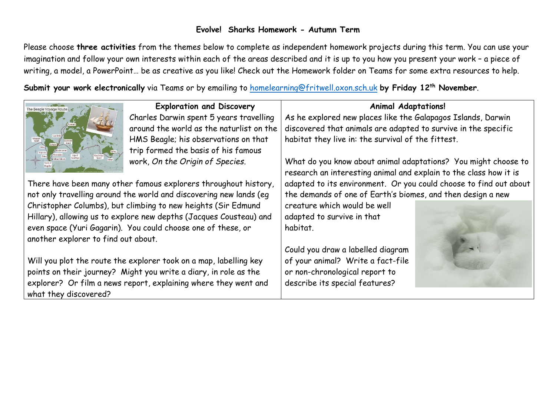### **Evolve! Sharks Homework - Autumn Term**

Please choose **three activities** from the themes below to complete as independent homework projects during this term. You can use your imagination and follow your own interests within each of the areas described and it is up to you how you present your work – a piece of writing, a model, a PowerPoint… be as creative as you like! Check out the Homework folder on Teams for some extra resources to help.

**Submit your work electronically** via Teams or by emailing to [homelearning@fritwell.oxon.sch.uk](mailto:homelearning@fritwell.oxon.sch.uk) **by Friday 12th November**.



#### **Exploration and Discovery**

Charles Darwin spent 5 years travelling around the world as the naturlist on the HMS Beagle; his observations on that trip formed the basis of his famous work, *On the Origin of Species*.

There have been many other famous explorers throughout history, not only travelling around the world and discovering new lands (eg Christopher Columbs), but climbing to new heights (Sir Edmund Hillary), allowing us to explore new depths (Jacques Cousteau) and even space (Yuri Gagarin). You could choose one of these, or another explorer to find out about.

Will you plot the route the explorer took on a map, labelling key points on their journey? Might you write a diary, in role as the explorer? Or film a news report, explaining where they went and what they discovered?

#### **Animal Adaptations!**

As he explored new places like the Galapagos Islands, Darwin discovered that animals are adapted to survive in the specific habitat they live in: the survival of the fittest.

What do you know about animal adaptations? You might choose to research an interesting animal and explain to the class how it is adapted to its environment. Or you could choose to find out about the demands of one of Earth's biomes, and then design a new

creature which would be well adapted to survive in that habitat.

Could you draw a labelled diagram of your animal? Write a fact-file or non-chronological report to describe its special features?